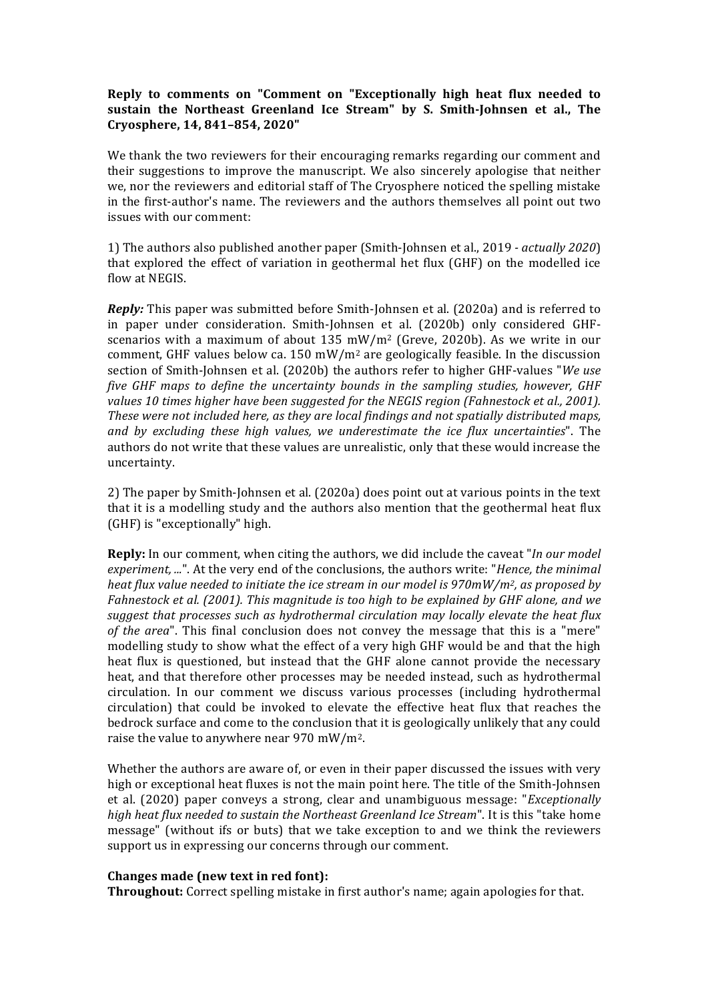## **Reply to comments on "Comment on "Exceptionally high heat flux needed to** sustain the Northeast Greenland Ice Stream" by S. Smith-Johnsen et al., The **Cryosphere, 14, 841–854, 2020"**

We thank the two reviewers for their encouraging remarks regarding our comment and their suggestions to improve the manuscript. We also sincerely apologise that neither we, nor the reviewers and editorial staff of The Cryosphere noticed the spelling mistake in the first-author's name. The reviewers and the authors themselves all point out two issues with our comment:

1) The authors also published another paper (Smith-Johnsen et al., 2019 *- actually 2020*) that explored the effect of variation in geothermal het flux  $(GHF)$  on the modelled ice flow at NEGIS.

*Reply:* This paper was submitted before Smith-Johnsen et al. (2020a) and is referred to in paper under consideration. Smith-Johnsen et al. (2020b) only considered GHFscenarios with a maximum of about  $135 \text{ mW/m}^2$  (Greve, 2020b). As we write in our comment, GHF values below ca. 150 mW/m<sup>2</sup> are geologically feasible. In the discussion section of Smith-Johnsen et al. (2020b) the authors refer to higher GHF-values "*We use five GHF maps to define the uncertainty bounds in the sampling studies, however, GHF* values 10 times higher have been suggested for the NEGIS region (Fahnestock et al., 2001). *These* were not included here, as they are local findings and not spatially distributed maps, *and by excluding these high values, we underestimate the ice flux uncertainties*". The authors do not write that these values are unrealistic, only that these would increase the uncertainty.

2) The paper by Smith-Johnsen et al. (2020a) does point out at various points in the text that it is a modelling study and the authors also mention that the geothermal heat flux  $(GHF)$  is "exceptionally" high.

**Reply:** In our comment, when citing the authors, we did include the caveat "*In our model experiment, ...*". At the very end of the conclusions, the authors write: "Hence, the minimal *heat flux value needed to initiate the ice stream in our model is 970mW/m<sup>2</sup>, as proposed by Fahnestock et al.* (2001). This magnitude is too high to be explained by GHF alone, and we suggest that processes such as hydrothermal circulation may locally elevate the heat flux *of* the area". This final conclusion does not convey the message that this is a "mere" modelling study to show what the effect of a very high GHF would be and that the high heat flux is questioned, but instead that the GHF alone cannot provide the necessary heat, and that therefore other processes may be needed instead, such as hydrothermal circulation. In our comment we discuss various processes (including hydrothermal circulation) that could be invoked to elevate the effective heat flux that reaches the bedrock surface and come to the conclusion that it is geologically unlikely that any could raise the value to anywhere near  $970$  mW/m<sup>2</sup>.

Whether the authors are aware of, or even in their paper discussed the issues with very high or exceptional heat fluxes is not the main point here. The title of the Smith-Johnsen et al. (2020) paper conveys a strong, clear and unambiguous message: "*Exceptionally high heat flux needed to sustain the Northeast Greenland Ice Stream".* It is this "take home message" (without ifs or buts) that we take exception to and we think the reviewers support us in expressing our concerns through our comment.

## **Changes made (new text in red font):**

**Throughout:** Correct spelling mistake in first author's name; again apologies for that.